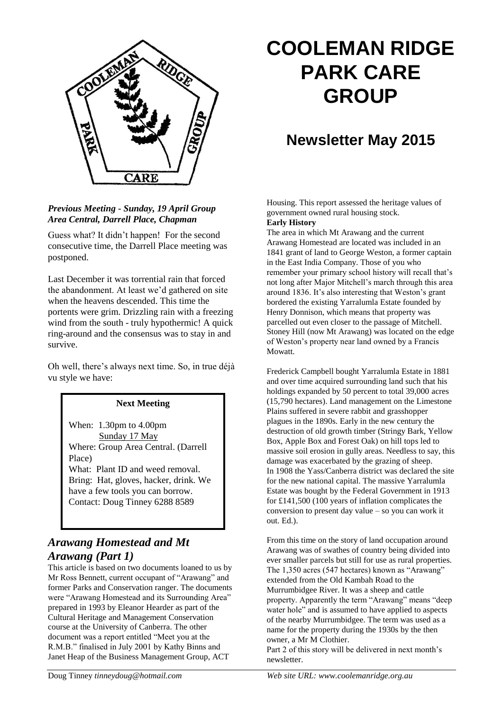

### *Previous Meeting* **-** *Sunday, 19 April Group Area Central, Darrell Place, Chapman*

Guess what? It didn't happen! For the second consecutive time, the Darrell Place meeting was postponed.

Last December it was torrential rain that forced the abandonment. At least we'd gathered on site when the heavens descended. This time the portents were grim. Drizzling rain with a freezing wind from the south - truly hypothermic! A quick ring-around and the consensus was to stay in and survive.

Oh well, there's always next time. So, in true déjà vu style we have:

### **Next Meeting**

When: 1.30pm to 4.00pm Sunday 17 May Where: Group Area Central. (Darrell Place)

What: Plant ID and weed removal. Bring: Hat, gloves, hacker, drink. We have a few tools you can borrow. Contact: Doug Tinney 6288 8589

# *Arawang Homestead and Mt Arawang (Part 1)*

This article is based on two documents loaned to us by Mr Ross Bennett, current occupant of "Arawang" and former Parks and Conservation ranger. The documents were "Arawang Homestead and its Surrounding Area" prepared in 1993 by Eleanor Hearder as part of the Cultural Heritage and Management Conservation course at the University of Canberra. The other document was a report entitled "Meet you at the R.M.B." finalised in July 2001 by Kathy Binns and Janet Heap of the Business Management Group, ACT

# **COOLEMAN RIDGE PARK CARE GROUP**

# **Newsletter May 2015**

Housing. This report assessed the heritage values of government owned rural housing stock.

#### **Early History**

The area in which Mt Arawang and the current Arawang Homestead are located was included in an 1841 grant of land to George Weston, a former captain in the East India Company. Those of you who remember your primary school history will recall that's not long after Major Mitchell's march through this area around 1836. It's also interesting that Weston's grant bordered the existing Yarralumla Estate founded by Henry Donnison, which means that property was parcelled out even closer to the passage of Mitchell. Stoney Hill (now Mt Arawang) was located on the edge of Weston's property near land owned by a Francis Mowatt.

Frederick Campbell bought Yarralumla Estate in 1881 and over time acquired surrounding land such that his holdings expanded by 50 percent to total 39,000 acres (15,790 hectares). Land management on the Limestone Plains suffered in severe rabbit and grasshopper plagues in the 1890s. Early in the new century the destruction of old growth timber (Stringy Bark, Yellow Box, Apple Box and Forest Oak) on hill tops led to massive soil erosion in gully areas. Needless to say, this damage was exacerbated by the grazing of sheep. In 1908 the Yass/Canberra district was declared the site for the new national capital. The massive Yarralumla Estate was bought by the Federal Government in 1913 for £141,500 (100 years of inflation complicates the conversion to present day value – so you can work it out. Ed.).

From this time on the story of land occupation around Arawang was of swathes of country being divided into ever smaller parcels but still for use as rural properties. The 1,350 acres (547 hectares) known as "Arawang" extended from the Old Kambah Road to the Murrumbidgee River. It was a sheep and cattle property. Apparently the term "Arawang" means "deep water hole" and is assumed to have applied to aspects of the nearby Murrumbidgee. The term was used as a name for the property during the 1930s by the then owner, a Mr M Clothier.

Part 2 of this story will be delivered in next month's newsletter.